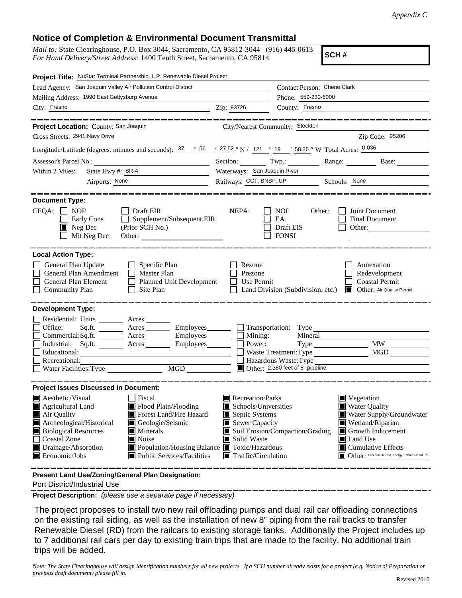## **Notice of Completion & Environmental Document Transmittal**

*Mail to:* State Clearinghouse, P.O. Box 3044, Sacramento, CA 95812-3044 (916) 445-0613 *For Hand Delivery/Street Address:* 1400 Tenth Street, Sacramento, CA 95814

**SCH #**

| Project Title: NuStar Terminal Partnership, L.P. Renewable Diesel Project                                                                                                                                                            |                                                                                                                                                                                                                                                          |  |
|--------------------------------------------------------------------------------------------------------------------------------------------------------------------------------------------------------------------------------------|----------------------------------------------------------------------------------------------------------------------------------------------------------------------------------------------------------------------------------------------------------|--|
|                                                                                                                                                                                                                                      | Contact Person: Cherie Clark                                                                                                                                                                                                                             |  |
|                                                                                                                                                                                                                                      | Phone: 559-230-6000                                                                                                                                                                                                                                      |  |
| Zip: 93726                                                                                                                                                                                                                           | County: Fresno                                                                                                                                                                                                                                           |  |
| City/Nearest Community: Stockton                                                                                                                                                                                                     | ------------------                                                                                                                                                                                                                                       |  |
|                                                                                                                                                                                                                                      | Zip Code: 95206<br><u> 1989 - Johann Stoff, deutscher Stoffen und der Stoffen und der Stoffen und der Stoffen und der Stoffen und der</u>                                                                                                                |  |
|                                                                                                                                                                                                                                      | Longitude/Latitude (degrees, minutes and seconds): $\frac{37}{100}$ $\frac{66}{100}$ / $\frac{27.52}{100}$ N / 121 $\degree$ 19 / 58.25 " W Total Acres: $\frac{0.036}{1000}$                                                                            |  |
|                                                                                                                                                                                                                                      | Section: Twp.: Twp.: Range: Base:                                                                                                                                                                                                                        |  |
| Waterways: San Joaquin River                                                                                                                                                                                                         |                                                                                                                                                                                                                                                          |  |
| Railways: CCT, BNSF, UP Schools: None                                                                                                                                                                                                |                                                                                                                                                                                                                                                          |  |
| NEPA:<br>Supplement/Subsequent EIR<br>Other:                                                                                                                                                                                         | <b>NOI</b><br>Other:<br>Joint Document<br>EA<br>Final Document<br>Draft EIS<br>Other:<br><b>FONSI</b>                                                                                                                                                    |  |
| Rezone<br>Prezone<br>Planned Unit Development<br>$\Box$<br>Use Permit                                                                                                                                                                | Annexation<br>Redevelopment<br><b>Coastal Permit</b><br>Land Division (Subdivision, etc.)<br><b>Other:</b> Air Quality Permit                                                                                                                            |  |
| Sq.ft. _________ Acres __________ Employees________<br>Commercial:Sq.ft. <u>Acres</u> Acres Employees<br>$\Box$ Mining:<br>Industrial: Sq.ft. _______ Acres _______ Employees_______<br>Power:<br>$\Box$<br>$\mathbf{I}$<br>MGD ONLY | MGD<br>Waste Treatment: Type<br>Hazardous Waste: Type<br>Other: 2,380 feet of 8" pipeline                                                                                                                                                                |  |
| Recreation/Parks<br>Schools/Universities<br>Ш<br>Septic Systems<br>Sewer Capacity<br>Solid Waste<br>■ Population/Housing Balance ■ Toxic/Hazardous<br>$\blacksquare$ Traffic/Circulation                                             | Vegetation<br><b>Water Quality</b><br>Water Supply/Groundwater<br>Wetland/Riparian<br>Soil Erosion/Compaction/Grading<br>$\Box$ Growth Inducement<br>Land Use<br>$\blacksquare$ Cumulative Effects<br>Other: Greenhouse Gas, Energy, Tribal Cultural Res |  |
|                                                                                                                                                                                                                                      |                                                                                                                                                                                                                                                          |  |

**Present Land Use/Zoning/General Plan Designation:**

Port District/Industrial Use

**Project Description:** *(please use a separate page if necessary)*

 The project proposes to install two new rail offloading pumps and dual rail car offloading connections on the existing rail siding, as well as the installation of new 8" piping from the rail tracks to transfer Renewable Diesel (RD) from the railcars to existing storage tanks. Additionally the Project includes up to 7 additional rail cars per day to existing train trips that are made to the facility. No additional train trips will be added.

*Note: The State Clearinghouse will assign identification numbers for all new projects. If a SCH number already exists for a project (e.g. Notice of Preparation or previous draft document) please fill in.*